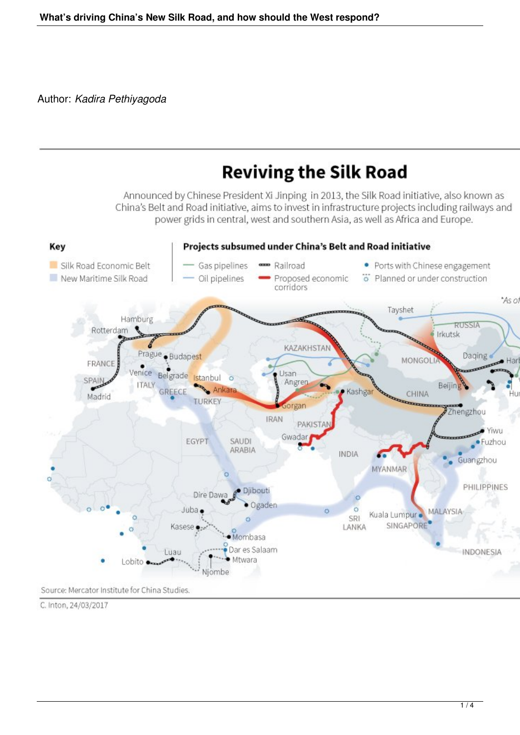Author: *Kadira Pethiyagoda*



C. Inton, 24/03/2017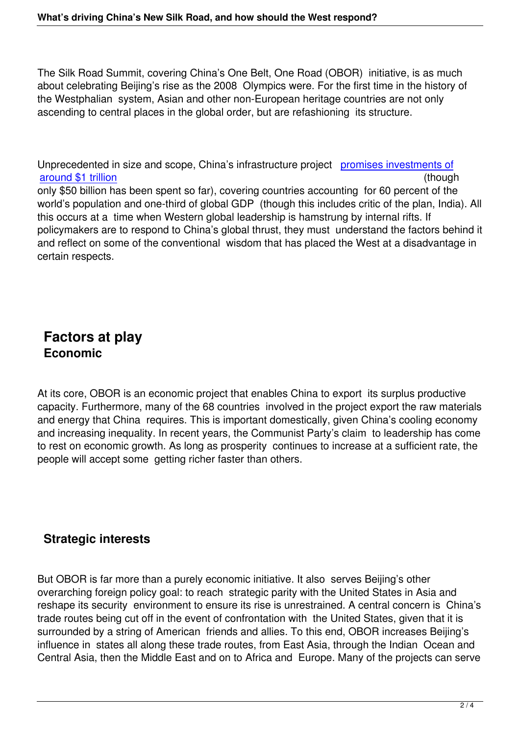The Silk Road Summit, covering China's One Belt, One Road (OBOR) initiative, is as much about celebrating Beijing's rise as the 2008 Olympics were. For the first time in the history of the Westphalian system, Asian and other non-European heritage countries are not only ascending to central places in the global order, but are refashioning its structure.

Unprecedented in size and scope, China's infrastructure project promises investments of around \$1 trillion (though in the set of the set of the set of the set of the set of the set of the set of the set of the set of the set of the set of the set of the set of the set of the set of the set of the set of the s only \$50 billion has been spent so far), covering countries accounting for 60 percent of the world's population and one-third of global GDP (though this inclu[des critic of the plan, Indi](https://www.nytimes.com/2017/05/13/business/china-railway-one-belt-one-road-1-trillion-plan.html?_r=2)a). All [this occurs at a ti](https://www.nytimes.com/2017/05/13/business/china-railway-one-belt-one-road-1-trillion-plan.html?_r=2)me when Western global leadership is hamstrung by internal rifts. If policymakers are to respond to China's global thrust, they must understand the factors behind it and reflect on some of the conventional wisdom that has placed the West at a disadvantage in certain respects.

## **Factors at play Economic**

At its core, OBOR is an economic project that enables China to export its surplus productive capacity. Furthermore, many of the 68 countries involved in the project export the raw materials and energy that China requires. This is important domestically, given China's cooling economy and increasing inequality. In recent years, the Communist Party's claim to leadership has come to rest on economic growth. As long as prosperity continues to increase at a sufficient rate, the people will accept some getting richer faster than others.

## **Strategic interests**

But OBOR is far more than a purely economic initiative. It also serves Beijing's other overarching foreign policy goal: to reach strategic parity with the United States in Asia and reshape its security environment to ensure its rise is unrestrained. A central concern is China's trade routes being cut off in the event of confrontation with the United States, given that it is surrounded by a string of American friends and allies. To this end, OBOR increases Beijing's influence in states all along these trade routes, from East Asia, through the Indian Ocean and Central Asia, then the Middle East and on to Africa and Europe. Many of the projects can serve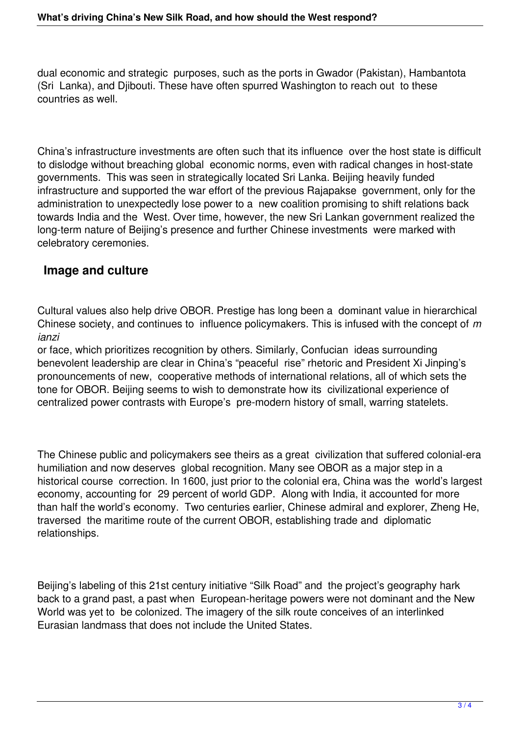dual economic and strategic purposes, such as the ports in Gwador (Pakistan), Hambantota (Sri Lanka), and Djibouti. These have often spurred Washington to reach out to these countries as well.

China's infrastructure investments are often such that its influence over the host state is difficult to dislodge without breaching global economic norms, even with radical changes in host-state governments. This was seen in strategically located Sri Lanka. Beijing heavily funded infrastructure and supported the war effort of the previous Rajapakse government, only for the administration to unexpectedly lose power to a new coalition promising to shift relations back towards India and the West. Over time, however, the new Sri Lankan government realized the long-term nature of Beijing's presence and further Chinese investments were marked with celebratory ceremonies.

## **Image and culture**

Cultural values also help drive OBOR. Prestige has long been a dominant value in hierarchical Chinese society, and continues to influence policymakers. This is infused with the concept of *m ianzi*

or face, which prioritizes recognition by others. Similarly, Confucian ideas surrounding benevolent leadership are clear in China's "peaceful rise" rhetoric and President Xi Jinping's pronouncements of new, cooperative methods of international relations, all of which sets the tone for OBOR. Beijing seems to wish to demonstrate how its civilizational experience of centralized power contrasts with Europe's pre-modern history of small, warring statelets.

The Chinese public and policymakers see theirs as a great civilization that suffered colonial-era humiliation and now deserves global recognition. Many see OBOR as a major step in a historical course correction. In 1600, just prior to the colonial era, China was the world's largest economy, accounting for 29 percent of world GDP. Along with India, it accounted for more than half the world's economy. Two centuries earlier, Chinese admiral and explorer, Zheng He, traversed the maritime route of the current OBOR, establishing trade and diplomatic relationships.

Beijing's labeling of this 21st century initiative "Silk Road" and the project's geography hark back to a grand past, a past when European-heritage powers were not dominant and the New World was yet to be colonized. The imagery of the silk route conceives of an interlinked Eurasian landmass that does not include the United States.